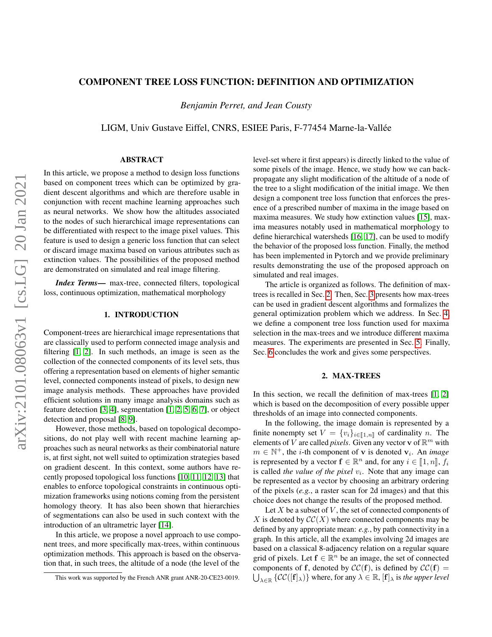# COMPONENT TREE LOSS FUNCTION: DEFINITION AND OPTIMIZATION

*Benjamin Perret, and Jean Cousty*

LIGM, Univ Gustave Eiffel, CNRS, ESIEE Paris, F-77454 Marne-la-Vallée

# ABSTRACT

In this article, we propose a method to design loss functions based on component trees which can be optimized by gradient descent algorithms and which are therefore usable in conjunction with recent machine learning approaches such as neural networks. We show how the altitudes associated to the nodes of such hierarchical image representations can be differentiated with respect to the image pixel values. This feature is used to design a generic loss function that can select or discard image maxima based on various attributes such as extinction values. The possibilities of the proposed method are demonstrated on simulated and real image filtering.

*Index Terms*— max-tree, connected filters, topological loss, continuous optimization, mathematical morphology

# 1. INTRODUCTION

Component-trees are hierarchical image representations that are classically used to perform connected image analysis and filtering [\[1,](#page-4-0) [2\]](#page-4-1). In such methods, an image is seen as the collection of the connected components of its level sets, thus offering a representation based on elements of higher semantic level, connected components instead of pixels, to design new image analysis methods. These approaches have provided efficient solutions in many image analysis domains such as feature detection [\[3,](#page-4-2) [4\]](#page-4-3), segmentation [\[1,](#page-4-0) [2,](#page-4-1) [5,](#page-4-4) [6,](#page-4-5) [7\]](#page-4-6), or object detection and proposal [\[8,](#page-4-7) [9\]](#page-4-8).

However, those methods, based on topological decompositions, do not play well with recent machine learning approaches such as neural networks as their combinatorial nature is, at first sight, not well suited to optimization strategies based on gradient descent. In this context, some authors have recently proposed topological loss functions [\[10,](#page-4-9) [11,](#page-4-10) [12,](#page-4-11) [13\]](#page-4-12) that enables to enforce topological constraints in continuous optimization frameworks using notions coming from the persistent homology theory. It has also been shown that hierarchies of segmentations can also be used in such context with the introduction of an ultrametric layer [\[14\]](#page-4-13).

In this article, we propose a novel approach to use component trees, and more specifically max-trees, within continuous optimization methods. This approach is based on the observation that, in such trees, the altitude of a node (the level of the

level-set where it first appears) is directly linked to the value of some pixels of the image. Hence, we study how we can backpropagate any slight modification of the altitude of a node of the tree to a slight modification of the initial image. We then design a component tree loss function that enforces the presence of a prescribed number of maxima in the image based on maxima measures. We study how extinction values [\[15\]](#page-4-14), maxima measures notably used in mathematical morphology to define hierarchical watersheds [\[16,](#page-4-15) [17\]](#page-4-16), can be used to modify the behavior of the proposed loss function. Finally, the method has been implemented in Pytorch and we provide preliminary results demonstrating the use of the proposed approach on simulated and real images.

The article is organized as follows. The definition of maxtrees is recalled in Sec. [2.](#page-0-0) Then, Sec. [3](#page-1-0) presents how max-trees can be used in gradient descent algorithms and formalizes the general optimization problem which we address. In Sec. [4,](#page-1-1) we define a component tree loss function used for maxima selection in the max-trees and we introduce different maxima measures. The experiments are presented in Sec. [5.](#page-2-0) Finally, Sec. [6](#page-3-0) concludes the work and gives some perspectives.

## 2. MAX-TREES

<span id="page-0-0"></span>In this section, we recall the definition of max-trees [\[1,](#page-4-0) [2\]](#page-4-1) which is based on the decomposition of every possible upper thresholds of an image into connected components.

In the following, the image domain is represented by a finite nonempty set  $V = \{v_i\}_{i \in [\![1,n]\!]}$  of cardinality n. The elements of V are called *pixels*. Given any vector **v** of  $\mathbb{R}^m$  with  $m \in \mathbb{N}^+$ , the *i*-th component of **v** is denoted **v**<sub>*i*</sub>. An *image* is represented by a vector  $\mathbf{f} \in \mathbb{R}^n$  and, for any  $i \in [\![1,n]\!]$ ,  $f_i$ <br>is called the value of the pixel  $y_i$ . Note that any image can is called *the value of the pixel*  $v_i$ . Note that any image can be represented as a vector by choosing an arbitrary ordering of the pixels (*e.g.*, a raster scan for 2d images) and that this choice does not change the results of the proposed method.

Let  $X$  be a subset of  $V$ , the set of connected components of X is denoted by  $\mathcal{CC}(X)$  where connected components may be defined by any appropriate mean: *e.g.*, by path connectivity in a graph. In this article, all the examples involving 2d images are based on a classical 8-adjacency relation on a regular square grid of pixels. Let  $f \in \mathbb{R}^n$  be an image, the set of connected components of f, denoted by  $\mathcal{CC}(f)$ , is defined by  $\mathcal{CC}(f)$  =  $\bigcup_{\lambda \in \mathbb{R}} \{ \mathcal{CC}([f]_{\lambda}) \}$  where, for any  $\lambda \in \mathbb{R}$ ,  $[f]_{\lambda}$  is *the upper level* 

This work was supported by the French ANR grant ANR-20-CE23-0019.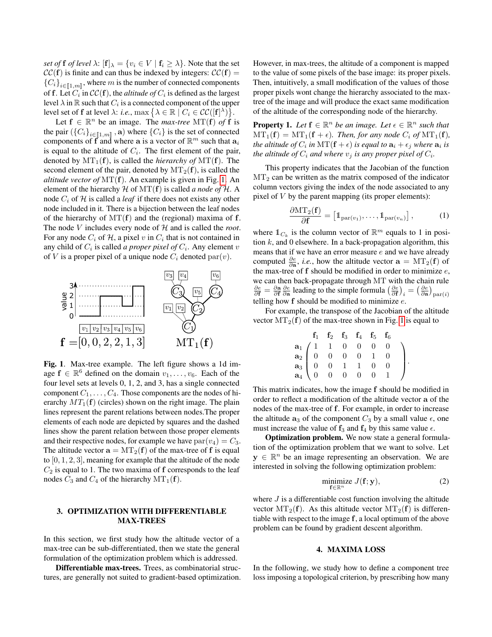*set of* **f** *of level*  $\lambda$ :  $[\mathbf{f}]_{\lambda} = \{v_i \in V \mid \mathbf{f}_i \geq \lambda\}$ . Note that the set  $\mathcal{CC}(\mathbf{f})$  is finite and can thus be indexed by integers:  $\mathcal{CC}(\mathbf{f}) =$  ${C_i}_{i \in [1,m]}$ , where m is the number of connected components of f. Let  $C_i$  in  $\mathcal{CC}(\mathbf{f})$ , the *altitude of*  $C_i$  is defined as the largest level  $\lambda$  in  $\mathbb R$  such that  $C_i$  is a connected component of the upper level set of **f** at level  $\lambda$ : *i.e.*, max  $\{\lambda \in \mathbb{R} \mid C_i \in \mathcal{CC}([f]^{\lambda})\}.$ 

Let  $f \in \mathbb{R}^n$  be an image. The *max-tree* MT(f) of f is the pair  $({C_i}_{i\in \llbracket 1,m\rrbracket}, \mathbf{a})$  where  ${C_i}$  is the set of connected<br>components of  $\mathbf{f}$  and where a is a vector of  $\mathbb{P}^m$  such that a components of f and where a is a vector of  $\mathbb{R}^m$  such that  $a_i$ is equal to the altitude of  $C_i$ . The first element of the pair, denoted by  $MT_1(f)$ , is called the *hierarchy of*  $MT(f)$ . The second element of the pair, denoted by  $MT_2(f)$ , is called the *altitude vector of* MT(f). An example is given in Fig. [1.](#page-1-2) An element of the hierarchy  $H$  of  $MT(f)$  is called *a node of*  $H$ . A node  $C_i$  of  $H$  is called a *leaf* if there does not exists any other node included in it. There is a bijection between the leaf nodes of the hierarchy of  $MT(f)$  and the (regional) maxima of f. The node V includes every node of H and is called the *root*. For any node  $C_i$  of  $H$ , a pixel  $v$  in  $C_i$  that is not contained in any child of  $C_i$  is called *a proper pixel of*  $C_i$ . Any element  $v$ of V is a proper pixel of a unique node  $C_i$  denoted par $(v)$ .



<span id="page-1-2"></span>Fig. 1. Max-tree example. The left figure shows a 1d image  $f \in \mathbb{R}^6$  defined on the domain  $v_1, \ldots, v_6$ . Each of the four level sets at levels 0, 1, 2, and 3, has a single connected component  $C_1, \ldots, C_4$ . Those components are the nodes of hierarchy  $MT_1(f)$  (circles) shown on the right image. The plain lines represent the parent relations between nodes.The proper elements of each node are depicted by squares and the dashed lines show the parent relation between those proper elements and their respective nodes, for example we have  $\text{par}(v_4) = C_3$ . The altitude vector  $\mathbf{a} = \mathrm{MT}_2(\mathbf{f})$  of the max-tree of f is equal to [0, 1, 2, 3], meaning for example that the altitude of the node  $C_2$  is equal to 1. The two maxima of f corresponds to the leaf nodes  $C_3$  and  $C_4$  of the hierarchy  $MT_1(f)$ .

# <span id="page-1-0"></span>3. OPTIMIZATION WITH DIFFERENTIABLE MAX-TREES

In this section, we first study how the altitude vector of a max-tree can be sub-differentiated, then we state the general formulation of the optimization problem which is addressed.

Differentiable max-trees. Trees, as combinatorial structures, are generally not suited to gradient-based optimization. However, in max-trees, the altitude of a component is mapped to the value of some pixels of the base image: its proper pixels. Then, intuitively, a small modification of the values of those proper pixels wont change the hierarchy associated to the maxtree of the image and will produce the exact same modification of the altitude of the corresponding node of the hierarchy.

**Property 1.** Let  $f \in \mathbb{R}^n$  be an image. Let  $\epsilon \in \mathbb{R}^n$  such that  $MT_1(f) = MT_1(f + \epsilon)$ *. Then, for any node*  $C_i$  *of*  $MT_1(f)$ *,* the altitude of  $C_i$  in  $\mathrm{MT}(\mathbf{f} + \epsilon)$  is equal to  $\mathbf{a}_i + \epsilon_j$  where  $\mathbf{a}_i$  is *the altitude of*  $C_i$  *and where*  $v_j$  *is any proper pixel of*  $C_i$ *.* 

This property indicates that the Jacobian of the function  $MT<sub>2</sub>$  can be written as the matrix composed of the indicator column vectors giving the index of the node associated to any pixel of  $V$  by the parent mapping (its proper elements):

$$
\frac{\partial \mathrm{MT}_2(\mathbf{f})}{\partial \mathbf{f}} = \left[ \mathbb{1}_{\mathrm{par}(v_1)}, \dots, \mathbb{1}_{\mathrm{par}(v_n)} \right],\tag{1}
$$

where  $\mathbb{1}_{C_k}$  is the column vector of  $\mathbb{R}^m$  equals to 1 in position  $k$ , and 0 elsewhere. In a back-propagation algorithm, this means that if we have an error measure  $e$  and we have already computed  $\frac{\partial e}{\partial \mathbf{a}}$ , *i.e.*, how the altitude vector  $\mathbf{a} = \mathrm{MT}_2(\mathbf{f})$  of the max-tree of  $f$  should be modified in order to minimize  $e$ , we can then back-propagate through MT with the chain rule  $\frac{\partial e}{\partial f} = \frac{\partial a}{\partial f} \frac{\partial e}{\partial a}$  leading to the simple formula  $\left(\frac{\partial e}{\partial f}\right)_i = \left(\frac{\partial e}{\partial a}\right)_{\text{par}(i)}$ telling how  $f$  should be modified to minimize  $e$ .

For example, the transpose of the Jacobian of the altitude vector  $MT_2(f)$  of the max-tree shown in Fig. [1](#page-1-2) is equal to

|                                                                                                                                                                                    | $f_1$ $f_2$ $f_3$ $f_4$ $f_5$ $f_6$ |  |   |  |
|------------------------------------------------------------------------------------------------------------------------------------------------------------------------------------|-------------------------------------|--|---|--|
| $\begin{array}{c cccccc} \mathbf{a}_1 & 1 & 1 & 0 & 0 & 0 \\ \mathbf{a}_2 & 0 & 0 & 0 & 0 & 1 \\ \mathbf{a}_3 & 0 & 0 & 1 & 1 & 0 \\ \mathbf{a}_4 & 0 & 0 & 0 & 0 & 0 \end{array}$ |                                     |  | 0 |  |
|                                                                                                                                                                                    |                                     |  |   |  |
|                                                                                                                                                                                    |                                     |  |   |  |
|                                                                                                                                                                                    |                                     |  |   |  |

This matrix indicates, how the image f should be modified in order to reflect a modification of the altitude vector a of the nodes of the max-tree of f. For example, in order to increase the altitude  $a_3$  of the component  $C_3$  by a small value  $\epsilon$ , one must increase the value of  $f_3$  and  $f_4$  by this same value  $\epsilon$ .

Optimization problem. We now state a general formulation of the optimization problem that we want to solve. Let  $y \in \mathbb{R}^n$  be an image representing an observation. We are interested in solving the following optimization problem:

$$
\underset{\mathbf{f}\in\mathbb{R}^n}{\text{minimize}}\ J(\mathbf{f};\mathbf{y}),\tag{2}
$$

where  $J$  is a differentiable cost function involving the altitude vector  $MT_2(f)$ . As this altitude vector  $MT_2(f)$  is differentiable with respect to the image f, a local optimum of the above problem can be found by gradient descent algorithm.

### 4. MAXIMA LOSS

<span id="page-1-1"></span>In the following, we study how to define a component tree loss imposing a topological criterion, by prescribing how many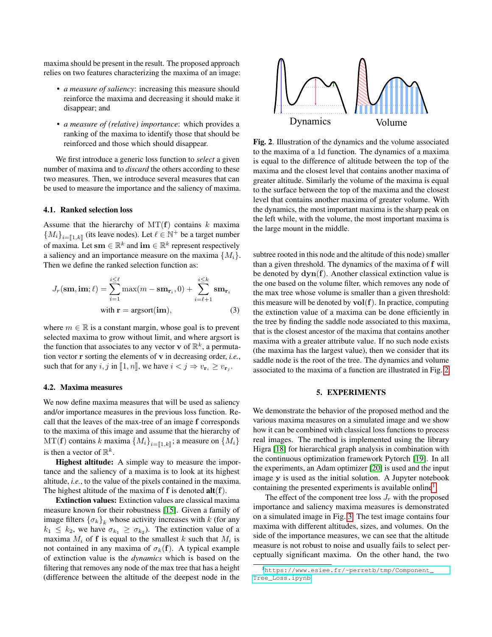maxima should be present in the result. The proposed approach relies on two features characterizing the maxima of an image:

- *a measure of saliency*: increasing this measure should reinforce the maxima and decreasing it should make it disappear; and
- *a measure of (relative) importance*: which provides a ranking of the maxima to identify those that should be reinforced and those which should disappear.

We first introduce a generic loss function to *select* a given number of maxima and to *discard* the others according to these two measures. Then, we introduce several measures that can be used to measure the importance and the saliency of maxima.

#### 4.1. Ranked selection loss

Assume that the hierarchy of  $MT(f)$  contains k maxima  ${M_i}_{i=\llbracket 1,k\rrbracket}$  (its leave nodes). Let  $\ell \in \mathbb{N}^+$  be a target number of maxima. Let  $\mathbf{sm} \in \mathbb{R}^k$  and  $\mathbf{im} \in \mathbb{R}^k$  represent respectively a saliency and an importance measure on the maxima  $\{M_i\}$ . Then we define the ranked selection function as:

$$
J_r(\mathbf{sm}, \mathbf{im}; \ell) = \sum_{i=1}^{i \leq \ell} \max(m - \mathbf{sm}_{\mathbf{r}_i}, 0) + \sum_{i=\ell+1}^{i \leq k} \mathbf{sm}_{\mathbf{r}_i}
$$
  
with  $\mathbf{r} = \text{argsort}(\mathbf{im}),$  (3)

where  $m \in \mathbb{R}$  is a constant margin, whose goal is to prevent selected maxima to grow without limit, and where argsort is the function that associates to any vector v of  $\mathbb{R}^k$ , a permutation vector r sorting the elements of v in decreasing order, *i.e.*, such that for any  $i, j$  in [1, n], we have  $i < j \Rightarrow v_{\mathbf{r}_i} \ge v_{\mathbf{r}_j}$ .

## 4.2. Maxima measures

We now define maxima measures that will be used as saliency and/or importance measures in the previous loss function. Recall that the leaves of the max-tree of an image f corresponds to the maxima of this image and assume that the hierarchy of  $MT(f)$  contains k maxima  $\{M_i\}_{i=\llbracket 1,k\rrbracket}$ ; a measure on  $\{M_i\}$ is then a vector of  $\mathbb{R}^k$ .

Highest altitude: A simple way to measure the importance and the saliency of a maxima is to look at its highest altitude, *i.e.*, to the value of the pixels contained in the maxima. The highest altitude of the maxima of  $f$  is denoted  $alt(f)$ .

Extinction values: Extinction values are classical maxima measure known for their robustness [\[15\]](#page-4-14). Given a family of image filters  $\{\sigma_k\}_k$  whose activity increases with k (for any  $k_1 \leq k_2$ , we have  $\sigma_{k_1} \geq \sigma_{k_2}$ ). The extinction value of a maxima  $M_i$  of f is equal to the smallest k such that  $M_i$  is not contained in any maxima of  $\sigma_k(f)$ . A typical example of extinction value is the *dynamics* which is based on the filtering that removes any node of the max tree that has a height (difference between the altitude of the deepest node in the



<span id="page-2-1"></span>Fig. 2. Illustration of the dynamics and the volume associated to the maxima of a 1d function. The dynamics of a maxima is equal to the difference of altitude between the top of the maxima and the closest level that contains another maxima of greater altitude. Similarly the volume of the maxima is equal to the surface between the top of the maxima and the closest level that contains another maxima of greater volume. With the dynamics, the most important maxima is the sharp peak on the left while, with the volume, the most important maxima is the large mount in the middle.

subtree rooted in this node and the altitude of this node) smaller than a given threshold. The dynamics of the maxima of f will be denoted by  $\text{dyn}(f)$ . Another classical extinction value is the one based on the volume filter, which removes any node of the max tree whose volume is smaller than a given threshold: this measure will be denoted by  $vol(f)$ . In practice, computing the extinction value of a maxima can be done efficiently in the tree by finding the saddle node associated to this maxima, that is the closest ancestor of the maxima that contains another maxima with a greater attribute value. If no such node exists (the maxima has the largest value), then we consider that its saddle node is the root of the tree. The dynamics and volume associated to the maxima of a function are illustrated in Fig. [2.](#page-2-1)

### 5. EXPERIMENTS

<span id="page-2-0"></span>We demonstrate the behavior of the proposed method and the various maxima measures on a simulated image and we show how it can be combined with classical loss functions to process real images. The method is implemented using the library Higra [\[18\]](#page-4-17) for hierarchical graph analysis in combination with the continuous optimization framework Pytorch [\[19\]](#page-4-18). In all the experiments, an Adam optimizer [\[20\]](#page-4-19) is used and the input image y is used as the initial solution. A Jupyter notebook containing the presented experiments is available online<sup>[1](#page-2-2)</sup>.

The effect of the component tree loss  $J_r$  with the proposed importance and saliency maxima measures is demonstrated on a simulated image in Fig. [3.](#page-3-1) The test image contains four maxima with different altitudes, sizes, and volumes. On the side of the importance measures, we can see that the altitude measure is not robust to noise and usually fails to select perceptually significant maxima. On the other hand, the two

<span id="page-2-2"></span><sup>1</sup>[https://www.esiee.fr/~perretb/tmp/Component\\_](https://www.esiee.fr/~perretb/tmp/Component_Tree_Loss.ipynb) [Tree\\_Loss.ipynb](https://www.esiee.fr/~perretb/tmp/Component_Tree_Loss.ipynb)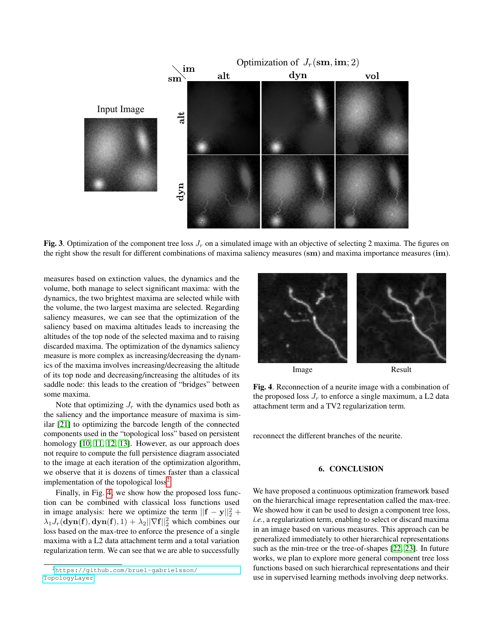

<span id="page-3-1"></span>Fig. 3. Optimization of the component tree loss  $J_r$  on a simulated image with an objective of selecting 2 maxima. The figures on the right show the result for different combinations of maxima saliency measures (sm) and maxima importance measures (im).

measures based on extinction values, the dynamics and the volume, both manage to select significant maxima: with the dynamics, the two brightest maxima are selected while with the volume, the two largest maxima are selected. Regarding saliency measures, we can see that the optimization of the saliency based on maxima altitudes leads to increasing the altitudes of the top node of the selected maxima and to raising discarded maxima. The optimization of the dynamics saliency measure is more complex as increasing/decreasing the dynamics of the maxima involves increasing/decreasing the altitude of its top node and decreasing/increasing the altitudes of its saddle node: this leads to the creation of "bridges" between some maxima.

Note that optimizing  $J_r$  with the dynamics used both as the saliency and the importance measure of maxima is similar [\[21\]](#page-4-20) to optimizing the barcode length of the connected components used in the "topological loss" based on persistent homology [\[10,](#page-4-9) [11,](#page-4-10) [12,](#page-4-11) [13\]](#page-4-12). However, as our approach does not require to compute the full persistence diagram associated to the image at each iteration of the optimization algorithm, we observe that it is dozens of times faster than a classical implementation of the topological  $loss<sup>2</sup>$  $loss<sup>2</sup>$  $loss<sup>2</sup>$ .

Finally, in Fig. [4,](#page-3-3) we show how the proposed loss function can be combined with classical loss functions used in image analysis: here we optimize the term  $||\mathbf{f} - \mathbf{y}||_2^2$  +  $\lambda_1 J_r(\text{dyn}(f), \text{dyn}(f), 1) + \lambda_2 ||\nabla f||_2^2$  which combines our loss based on the max-tree to enforce the presence of a single maxima with a L2 data attachment term and a total variation regularization term. We can see that we are able to successfully



<span id="page-3-3"></span>Image Result

Fig. 4. Reconnection of a neurite image with a combination of the proposed loss  $J_r$  to enforce a single maximum, a L2 data attachment term and a TV2 regularization term.

<span id="page-3-0"></span>reconnect the different branches of the neurite.

### 6. CONCLUSION

We have proposed a continuous optimization framework based on the hierarchical image representation called the max-tree. We showed how it can be used to design a component tree loss, *i.e.*, a regularization term, enabling to select or discard maxima in an image based on various measures. This approach can be generalized immediately to other hierarchical representations such as the min-tree or the tree-of-shapes [\[22,](#page-4-21) [23\]](#page-4-22). In future works, we plan to explore more general component tree loss functions based on such hierarchical representations and their use in supervised learning methods involving deep networks.

<span id="page-3-2"></span><sup>2</sup>[https://github.com/bruel-gabrielsson/](https://github.com/bruel-gabrielsson/TopologyLayer) [TopologyLayer](https://github.com/bruel-gabrielsson/TopologyLayer)